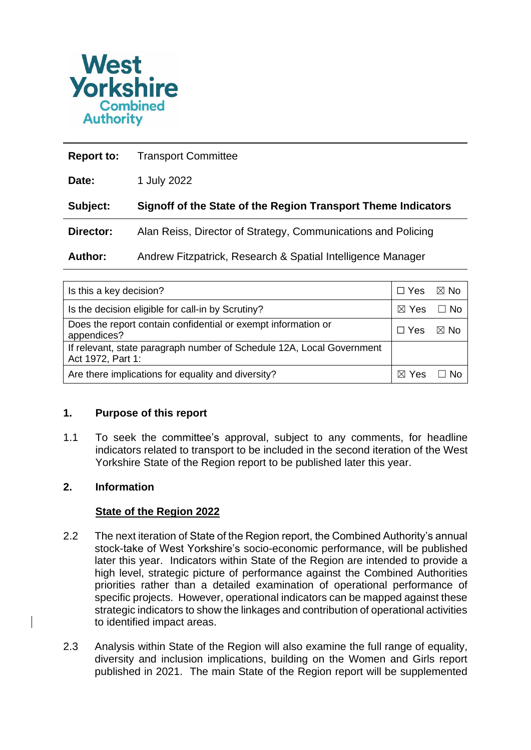

| <b>Report to:</b> | <b>Transport Committee</b>                                    |
|-------------------|---------------------------------------------------------------|
| Date:             | 1 July 2022                                                   |
| Subject:          | Signoff of the State of the Region Transport Theme Indicators |
| Director:         | Alan Reiss, Director of Strategy, Communications and Policing |
| <b>Author:</b>    | Andrew Fitzpatrick, Research & Spatial Intelligence Manager   |

| Is this a key decision?                                                                    | $\Box$ Yes                | $\boxtimes$ No |
|--------------------------------------------------------------------------------------------|---------------------------|----------------|
| Is the decision eligible for call-in by Scrutiny?                                          | $\boxtimes$ Yes $\Box$ No |                |
| Does the report contain confidential or exempt information or<br>appendices?               | <b>Yes</b>                | ⊠ No           |
| If relevant, state paragraph number of Schedule 12A, Local Government<br>Act 1972, Part 1: |                           |                |
| Are there implications for equality and diversity?                                         |                           |                |

#### **1. Purpose of this report**

1.1 To seek the committee's approval, subject to any comments, for headline indicators related to transport to be included in the second iteration of the West Yorkshire State of the Region report to be published later this year.

## **2. Information**

# **State of the Region 2022**

- 2.2 The next iteration of State of the Region report, the Combined Authority's annual stock-take of West Yorkshire's socio-economic performance, will be published later this year. Indicators within State of the Region are intended to provide a high level, strategic picture of performance against the Combined Authorities priorities rather than a detailed examination of operational performance of specific projects. However, operational indicators can be mapped against these strategic indicators to show the linkages and contribution of operational activities to identified impact areas.
- 2.3 Analysis within State of the Region will also examine the full range of equality, diversity and inclusion implications, building on the Women and Girls report published in 2021. The main State of the Region report will be supplemented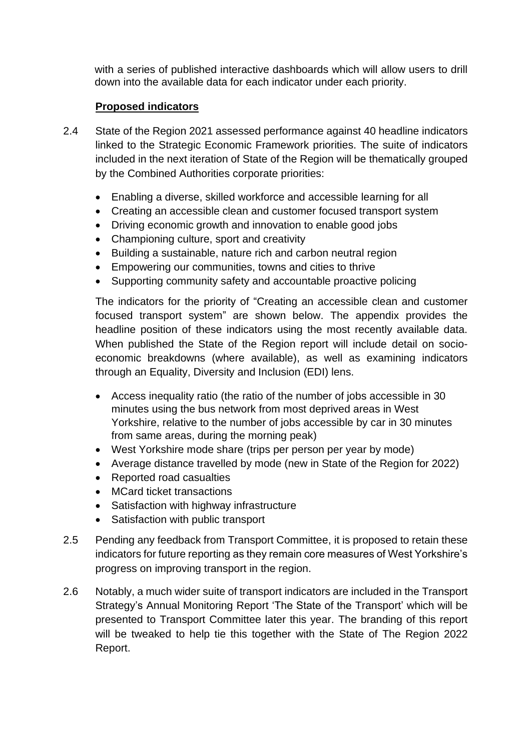with a series of published interactive dashboards which will allow users to drill down into the available data for each indicator under each priority.

# **Proposed indicators**

- 2.4 State of the Region 2021 assessed performance against 40 headline indicators linked to the Strategic Economic Framework priorities. The suite of indicators included in the next iteration of State of the Region will be thematically grouped by the Combined Authorities corporate priorities:
	- Enabling a diverse, skilled workforce and accessible learning for all
	- Creating an accessible clean and customer focused transport system
	- Driving economic growth and innovation to enable good jobs
	- Championing culture, sport and creativity
	- Building a sustainable, nature rich and carbon neutral region
	- Empowering our communities, towns and cities to thrive
	- Supporting community safety and accountable proactive policing

The indicators for the priority of "Creating an accessible clean and customer focused transport system" are shown below. The appendix provides the headline position of these indicators using the most recently available data. When published the State of the Region report will include detail on socioeconomic breakdowns (where available), as well as examining indicators through an Equality, Diversity and Inclusion (EDI) lens.

- Access inequality ratio (the ratio of the number of jobs accessible in 30 minutes using the bus network from most deprived areas in West Yorkshire, relative to the number of jobs accessible by car in 30 minutes from same areas, during the morning peak)
- West Yorkshire mode share (trips per person per year by mode)
- Average distance travelled by mode (new in State of the Region for 2022)
- Reported road casualties
- MCard ticket transactions
- Satisfaction with highway infrastructure
- Satisfaction with public transport
- 2.5 Pending any feedback from Transport Committee, it is proposed to retain these indicators for future reporting as they remain core measures of West Yorkshire's progress on improving transport in the region.
- 2.6 Notably, a much wider suite of transport indicators are included in the Transport Strategy's Annual Monitoring Report 'The State of the Transport' which will be presented to Transport Committee later this year. The branding of this report will be tweaked to help tie this together with the State of The Region 2022 Report.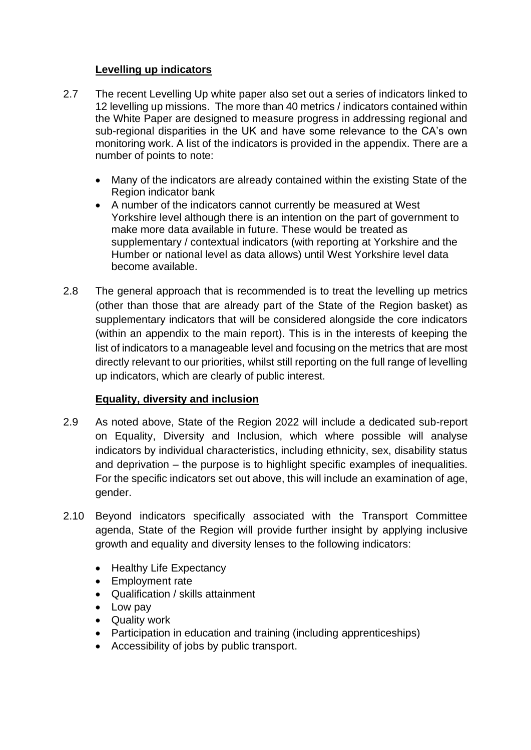# **Levelling up indicators**

- 2.7 The recent Levelling Up white paper also set out a series of indicators linked to 12 levelling up missions. The more than 40 metrics / indicators contained within the White Paper are designed to measure progress in addressing regional and sub-regional disparities in the UK and have some relevance to the CA's own monitoring work. A list of the indicators is provided in the appendix. There are a number of points to note:
	- Many of the indicators are already contained within the existing State of the Region indicator bank
	- A number of the indicators cannot currently be measured at West Yorkshire level although there is an intention on the part of government to make more data available in future. These would be treated as supplementary / contextual indicators (with reporting at Yorkshire and the Humber or national level as data allows) until West Yorkshire level data become available.
- 2.8 The general approach that is recommended is to treat the levelling up metrics (other than those that are already part of the State of the Region basket) as supplementary indicators that will be considered alongside the core indicators (within an appendix to the main report). This is in the interests of keeping the list of indicators to a manageable level and focusing on the metrics that are most directly relevant to our priorities, whilst still reporting on the full range of levelling up indicators, which are clearly of public interest.

# **Equality, diversity and inclusion**

- 2.9 As noted above, State of the Region 2022 will include a dedicated sub-report on Equality, Diversity and Inclusion, which where possible will analyse indicators by individual characteristics, including ethnicity, sex, disability status and deprivation – the purpose is to highlight specific examples of inequalities. For the specific indicators set out above, this will include an examination of age, gender.
- 2.10 Beyond indicators specifically associated with the Transport Committee agenda, State of the Region will provide further insight by applying inclusive growth and equality and diversity lenses to the following indicators:
	- Healthy Life Expectancy
	- Employment rate
	- Qualification / skills attainment
	- Low pay
	- Quality work
	- Participation in education and training (including apprenticeships)
	- Accessibility of jobs by public transport.